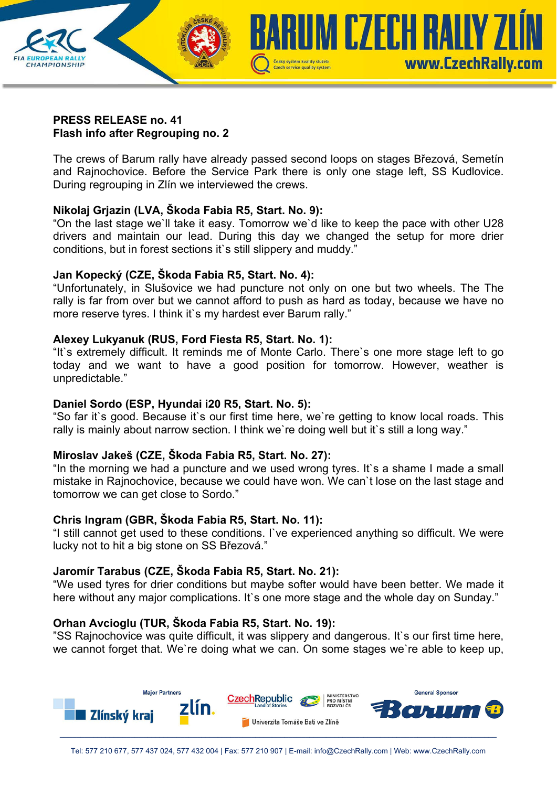

#### **PRESS RELEASE no. 41 Flash info after Regrouping no. 2**

The crews of Barum rally have already passed second loops on stages Březová, Semetín and Rajnochovice. Before the Service Park there is only one stage left, SS Kudlovice. During regrouping in Zlín we interviewed the crews.

## **Nikolaj Grjazin (LVA, Škoda Fabia R5, Start. No. 9):**

"On the last stage we`ll take it easy. Tomorrow we`d like to keep the pace with other U28 drivers and maintain our lead. During this day we changed the setup for more drier conditions, but in forest sections it`s still slippery and muddy."

## **Jan Kopecký (CZE, Škoda Fabia R5, Start. No. 4):**

"Unfortunately, in Slušovice we had puncture not only on one but two wheels. The The rally is far from over but we cannot afford to push as hard as today, because we have no more reserve tyres. I think it's my hardest ever Barum rally."

## **Alexey Lukyanuk (RUS, Ford Fiesta R5, Start. No. 1):**

"It`s extremely difficult. It reminds me of Monte Carlo. There`s one more stage left to go today and we want to have a good position for tomorrow. However, weather is unpredictable."

# **Daniel Sordo (ESP, Hyundai i20 R5, Start. No. 5):**

"So far it`s good. Because it`s our first time here, we`re getting to know local roads. This rally is mainly about narrow section. I think we're doing well but it's still a long way."

## **Miroslav Jakeš (CZE, Škoda Fabia R5, Start. No. 27):**

"In the morning we had a puncture and we used wrong tyres. It`s a shame I made a small mistake in Rajnochovice, because we could have won. We can`t lose on the last stage and tomorrow we can get close to Sordo."

# **Chris Ingram (GBR, Škoda Fabia R5, Start. No. 11):**

"I still cannot get used to these conditions. I`ve experienced anything so difficult. We were lucky not to hit a big stone on SS Březová."

## **Jaromír Tarabus (CZE, Škoda Fabia R5, Start. No. 21):**

"We used tyres for drier conditions but maybe softer would have been better. We made it here without any major complications. It's one more stage and the whole day on Sunday."

## **Orhan Avcioglu (TUR, Škoda Fabia R5, Start. No. 19):**

"SS Rajnochovice was quite difficult, it was slippery and dangerous. It`s our first time here, we cannot forget that. We`re doing what we can. On some stages we`re able to keep up,